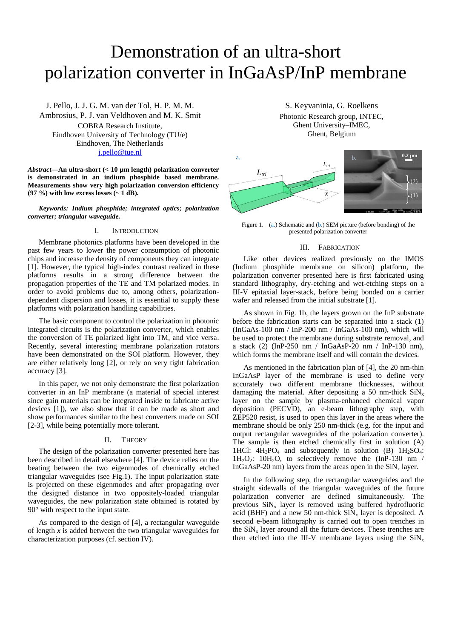# Demonstration of an ultra-short polarization converter in InGaAsP/InP membrane

J. Pello, J. J. G. M. van der Tol, H. P. M. M. Ambrosius, P. J. van Veldhoven and M. K. Smit COBRA Research Institute, Eindhoven University of Technology (TU/e) Eindhoven, The Netherlands [j.pello@tue.nl](mailto:j.pello@tue.nl)

*Abstract***—An ultra-short (< 10 µm length) polarization converter is demonstrated in an indium phosphide based membrane. Measurements show very high polarization conversion efficiency (97 %) with low excess losses (~ 1 dB).**

*Keywords: Indium phosphide; integrated optics; polarization converter; triangular waveguide.*

# I. INTRODUCTION

Membrane photonics platforms have been developed in the past few years to lower the power consumption of photonic chips and increase the density of components they can integrate [1]. However, the typical high-index contrast realized in these platforms results in a strong difference between the propagation properties of the TE and TM polarized modes. In order to avoid problems due to, among others, polarizationdependent dispersion and losses, it is essential to supply these platforms with polarization handling capabilities.

The basic component to control the polarization in photonic integrated circuits is the polarization converter, which enables the conversion of TE polarized light into TM, and vice versa. Recently, several interesting membrane polarization rotators have been demonstrated on the SOI platform. However, they are either relatively long [2], or rely on very tight fabrication accuracy [3].

In this paper, we not only demonstrate the first polarization converter in an InP membrane (a material of special interest since gain materials can be integrated inside to fabricate active devices [1]), we also show that it can be made as short and show performances similar to the best converters made on SOI [2-3], while being potentially more tolerant.

## II. THEORY

The design of the polarization converter presented here has been described in detail elsewhere [4]. The device relies on the beating between the two eigenmodes of chemically etched triangular waveguides (see Fig.1). The input polarization state is projected on these eigenmodes and after propagating over the designed distance in two oppositely-loaded triangular waveguides, the new polarization state obtained is rotated by 90° with respect to the input state.

As compared to the design of [4], a rectangular waveguide of length *x* is added between the two triangular waveguides for characterization purposes (cf. section IV).

S. Keyvaninia, G. Roelkens Photonic Research group, INTEC, Ghent University-IMEC, Ghent, Belgium



Figure 1. (a.) Schematic and (b.) SEM picture (before bonding) of the presented polarization converter

## III. FABRICATION

Like other devices realized previously on the IMOS (Indium phosphide membrane on silicon) platform, the polarization converter presented here is first fabricated using standard lithography, dry-etching and wet-etching steps on a III-V epitaxial layer-stack, before being bonded on a carrier wafer and released from the initial substrate [1].

As shown in Fig. 1b, the layers grown on the InP substrate before the fabrication starts can be separated into a stack (1) (InGaAs-100 nm / InP-200 nm / InGaAs-100 nm), which will be used to protect the membrane during substrate removal, and a stack (2) (InP-250 nm / InGaAsP-20 nm / InP-130 nm), which forms the membrane itself and will contain the devices.

As mentioned in the fabrication plan of [4], the 20 nm-thin InGaAsP layer of the membrane is used to define very accurately two different membrane thicknesses, without damaging the material. After depositing a 50 nm-thick  $\text{SiN}_x$ layer on the sample by plasma-enhanced chemical vapor deposition (PECVD), an e-beam lithography step, with ZEP520 resist, is used to open this layer in the areas where the membrane should be only 250 nm-thick (e.g. for the input and output rectangular waveguides of the polarization converter). The sample is then etched chemically first in solution (A) 1HCl:  $4H_3PO_4$  and subsequently in solution (B)  $1H_2SO_4$ :  $1H_2O_2$ :  $10H_2O$ , to selectively remove the  $(InP-130 \text{ nm})$ InGaAsP-20 nm) layers from the areas open in the  $\text{SiN}_x$  layer.

In the following step, the rectangular waveguides and the straight sidewalls of the triangular waveguides of the future polarization converter are defined simultaneously. The previous  $\text{SiN}_x$  layer is removed using buffered hydrofluoric acid (BHF) and a new 50 nm-thick  $\text{SiN}_x$  layer is deposited. A second e-beam lithography is carried out to open trenches in the  $\sin X_x$  layer around all the future devices. These trenches are then etched into the III-V membrane layers using the  $\text{SiN}_x$